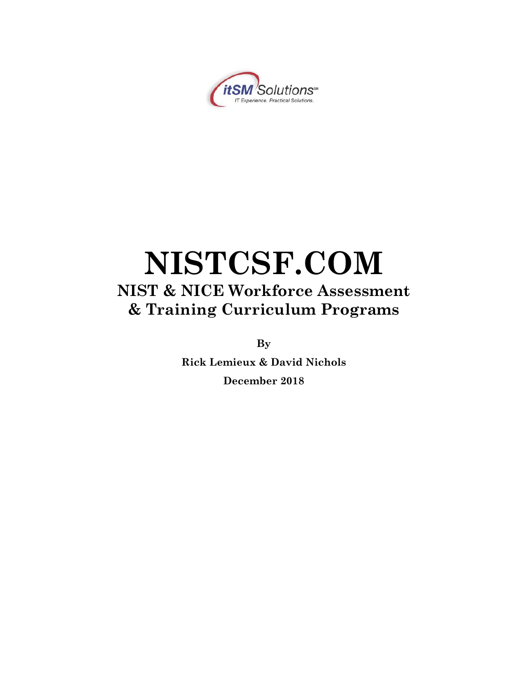

# **NISTCSF.COM NIST & NICE Workforce Assessment & Training Curriculum Programs**

**By**

**Rick Lemieux & David Nichols December 2018**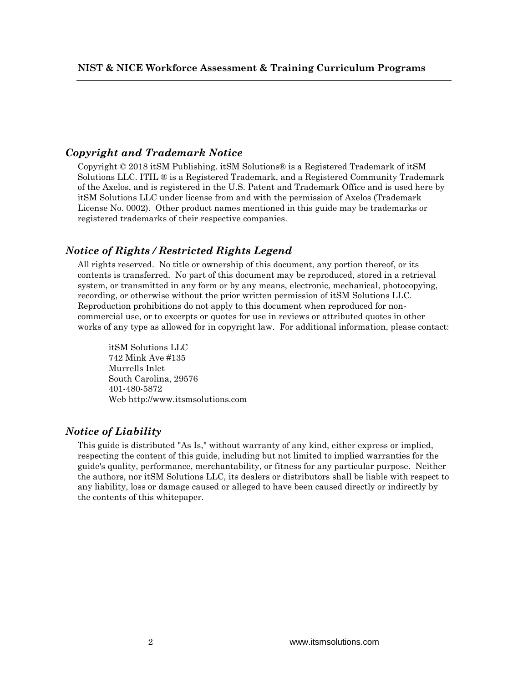### *Copyright and Trademark Notice*

Copyright © 2018 itSM Publishing. itSM Solutions® is a Registered Trademark of itSM Solutions LLC. ITIL ® is a Registered Trademark, and a Registered Community Trademark of the Axelos, and is registered in the U.S. Patent and Trademark Office and is used here by itSM Solutions LLC under license from and with the permission of Axelos (Trademark License No. 0002). Other product names mentioned in this guide may be trademarks or registered trademarks of their respective companies.

#### *Notice of Rights / Restricted Rights Legend*

All rights reserved. No title or ownership of this document, any portion thereof, or its contents is transferred. No part of this document may be reproduced, stored in a retrieval system, or transmitted in any form or by any means, electronic, mechanical, photocopying, recording, or otherwise without the prior written permission of itSM Solutions LLC. Reproduction prohibitions do not apply to this document when reproduced for noncommercial use, or to excerpts or quotes for use in reviews or attributed quotes in other works of any type as allowed for in copyright law. For additional information, please contact:

itSM Solutions LLC 742 Mink Ave #135 Murrells Inlet South Carolina, 29576 401-480-5872 Web http://www.itsmsolutions.com

#### *Notice of Liability*

This guide is distributed "As Is," without warranty of any kind, either express or implied, respecting the content of this guide, including but not limited to implied warranties for the guide's quality, performance, merchantability, or fitness for any particular purpose. Neither the authors, nor itSM Solutions LLC, its dealers or distributors shall be liable with respect to any liability, loss or damage caused or alleged to have been caused directly or indirectly by the contents of this whitepaper.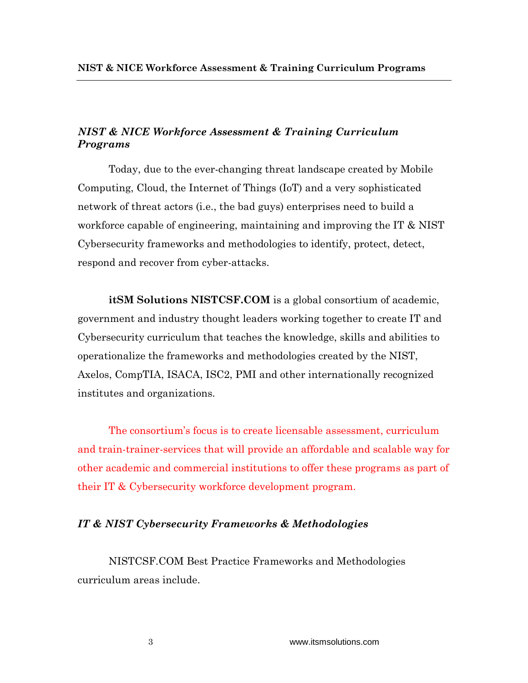## *NIST & NICE Workforce Assessment & Training Curriculum Programs*

Today, due to the ever-changing threat landscape created by Mobile Computing, Cloud, the Internet of Things (IoT) and a very sophisticated network of threat actors (i.e., the bad guys) enterprises need to build a workforce capable of engineering, maintaining and improving the IT & NIST Cybersecurity frameworks and methodologies to identify, protect, detect, respond and recover from cyber-attacks.

**itSM Solutions NISTCSF.COM** is a global consortium of academic, government and industry thought leaders working together to create IT and Cybersecurity curriculum that teaches the knowledge, skills and abilities to operationalize the frameworks and methodologies created by the NIST, Axelos, CompTIA, ISACA, ISC2, PMI and other internationally recognized institutes and organizations.

The consortium's focus is to create licensable assessment, curriculum and train-trainer-services that will provide an affordable and scalable way for other academic and commercial institutions to offer these programs as part of their IT & Cybersecurity workforce development program.

#### *IT & NIST Cybersecurity Frameworks & Methodologies*

NISTCSF.COM Best Practice Frameworks and Methodologies curriculum areas include.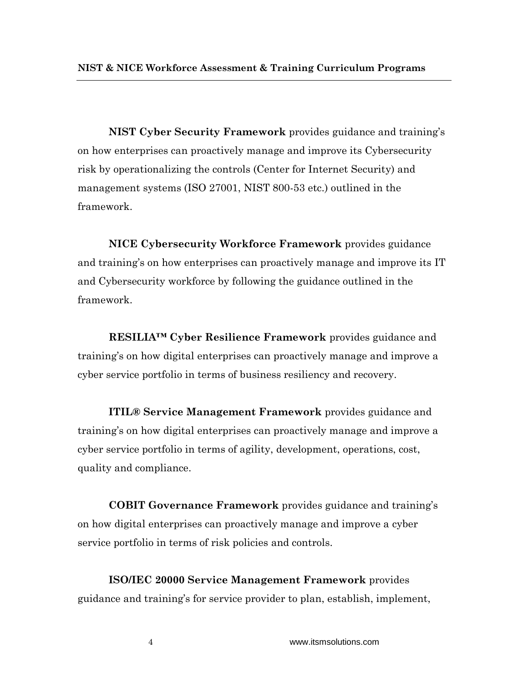**NIST Cyber Security Framework** provides guidance and training's on how enterprises can proactively manage and improve its Cybersecurity risk by operationalizing the controls (Center for Internet Security) and management systems (ISO 27001, NIST 800-53 etc.) outlined in the framework.

**NICE Cybersecurity Workforce Framework** provides guidance and training's on how enterprises can proactively manage and improve its IT and Cybersecurity workforce by following the guidance outlined in the framework.

**RESILIA™ Cyber Resilience Framework** provides guidance and training's on how digital enterprises can proactively manage and improve a cyber service portfolio in terms of business resiliency and recovery.

**ITIL® Service Management Framework** provides guidance and training's on how digital enterprises can proactively manage and improve a cyber service portfolio in terms of agility, development, operations, cost, quality and compliance.

**COBIT Governance Framework** provides guidance and training's on how digital enterprises can proactively manage and improve a cyber service portfolio in terms of risk policies and controls.

**ISO/IEC 20000 Service Management Framework** provides guidance and training's for service provider to plan, establish, implement,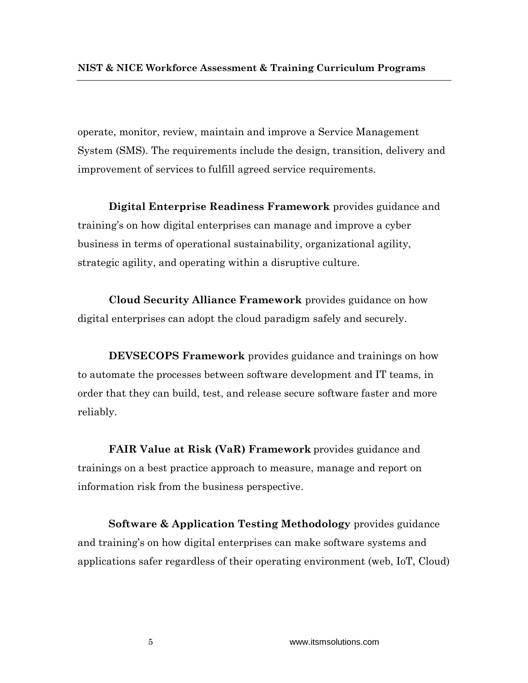operate, monitor, review, maintain and improve a Service Management System (SMS). The requirements include the design, transition, delivery and improvement of services to fulfill agreed service requirements.

**Digital Enterprise Readiness Framework** provides guidance and training's on how digital enterprises can manage and improve a cyber business in terms of operational sustainability, organizational agility, strategic agility, and operating within a disruptive culture.

**Cloud Security Alliance Framework** provides guidance on how digital enterprises can adopt the cloud paradigm safely and securely.

**DEVSECOPS Framework** provides guidance and trainings on how to automate the processes between software development and IT teams, in order that they can build, test, and release secure software faster and more reliably.

**FAIR Value at Risk (VaR) Framework** provides guidance and trainings on a best practice approach to measure, manage and report on information risk from the business perspective.

**Software & Application Testing Methodology** provides guidance and training's on how digital enterprises can make software systems and applications safer regardless of their operating environment (web, IoT, Cloud)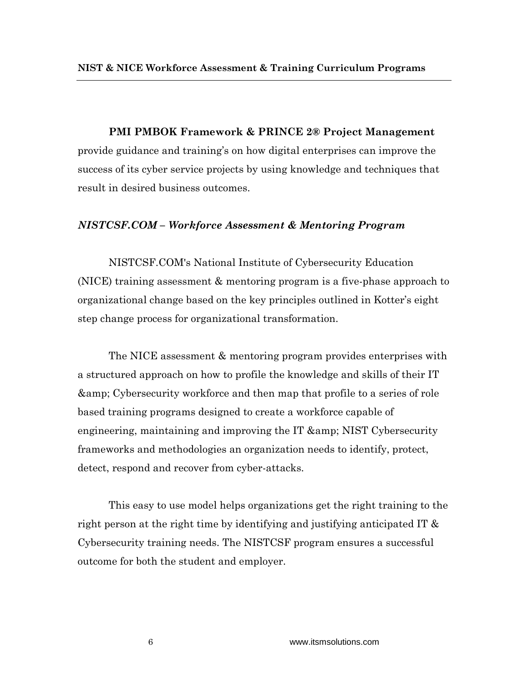**PMI PMBOK Framework & PRINCE 2® Project Management**  provide guidance and training's on how digital enterprises can improve the success of its cyber service projects by using knowledge and techniques that result in desired business outcomes.

#### *NISTCSF.COM – Workforce Assessment & Mentoring Program*

NISTCSF.COM's National Institute of Cybersecurity Education (NICE) training assessment & mentoring program is a five-phase approach to organizational change based on the key principles outlined in Kotter's eight step change process for organizational transformation.

The NICE assessment & mentoring program provides enterprises with a structured approach on how to profile the knowledge and skills of their IT & Cybersecurity workforce and then map that profile to a series of role based training programs designed to create a workforce capable of engineering, maintaining and improving the IT  $\&$ amp; NIST Cybersecurity frameworks and methodologies an organization needs to identify, protect, detect, respond and recover from cyber-attacks.

This easy to use model helps organizations get the right training to the right person at the right time by identifying and justifying anticipated IT & Cybersecurity training needs. The NISTCSF program ensures a successful outcome for both the student and employer.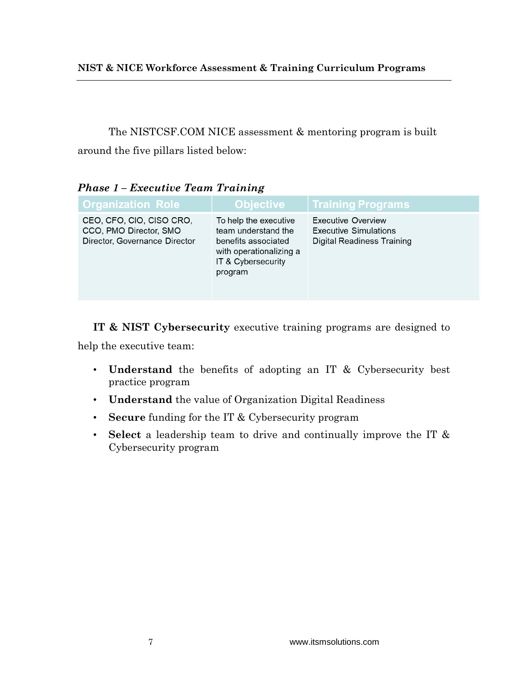The NISTCSF.COM NICE assessment & mentoring program is built around the five pillars listed below:

| <b>Organization Role</b>                                                            | <b>Objective</b>                                                                                                                | <b>Training Programs</b>                                                                |  |  |  |
|-------------------------------------------------------------------------------------|---------------------------------------------------------------------------------------------------------------------------------|-----------------------------------------------------------------------------------------|--|--|--|
| CEO, CFO, CIO, CISO CRO,<br>CCO, PMO Director, SMO<br>Director, Governance Director | To help the executive<br>team understand the<br>benefits associated<br>with operationalizing a<br>IT & Cybersecurity<br>program | Executive Overview<br><b>Executive Simulations</b><br><b>Digital Readiness Training</b> |  |  |  |

*Phase 1 – Executive Team Training*

**IT & NIST Cybersecurity** executive training programs are designed to help the executive team:

- **Understand** the benefits of adopting an IT & Cybersecurity best practice program
- **Understand** the value of Organization Digital Readiness
- **Secure** funding for the IT & Cybersecurity program
- **Select** a leadership team to drive and continually improve the IT & Cybersecurity program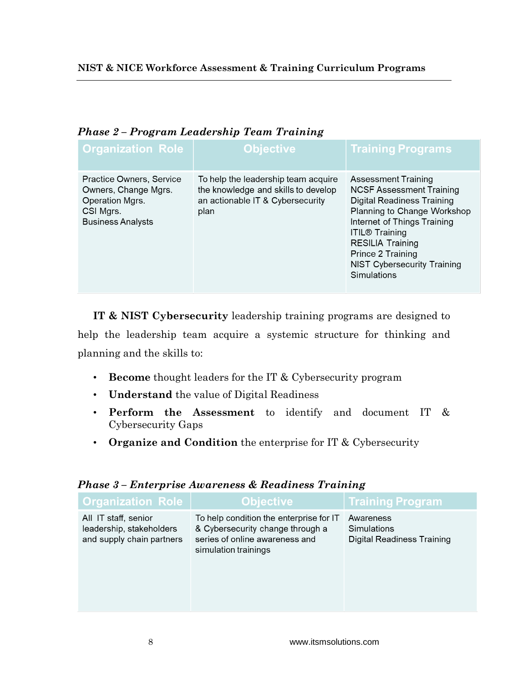| <b>Organization Role</b>                                                                                     | <b>Objective</b>                                                                                                       | <b>Training Programs</b>                                                                                                                                                                                                                                                         |
|--------------------------------------------------------------------------------------------------------------|------------------------------------------------------------------------------------------------------------------------|----------------------------------------------------------------------------------------------------------------------------------------------------------------------------------------------------------------------------------------------------------------------------------|
| Practice Owners, Service<br>Owners, Change Mgrs.<br>Operation Mgrs.<br>CSI Mgrs.<br><b>Business Analysts</b> | To help the leadership team acquire<br>the knowledge and skills to develop<br>an actionable IT & Cybersecurity<br>plan | Assessment Training<br><b>NCSF Assessment Training</b><br>Digital Readiness Training<br>Planning to Change Workshop<br>Internet of Things Training<br><b>ITIL® Training</b><br><b>RESILIA Training</b><br>Prince 2 Training<br><b>NIST Cybersecurity Training</b><br>Simulations |

# *Phase 2 – Program Leadership Team Training*

**IT & NIST Cybersecurity** leadership training programs are designed to help the leadership team acquire a systemic structure for thinking and planning and the skills to:

- **Become** thought leaders for the IT & Cybersecurity program
- **Understand** the value of Digital Readiness
- **Perform the Assessment** to identify and document IT & Cybersecurity Gaps
- **Organize and Condition** the enterprise for IT & Cybersecurity

| <b>Organization Role</b>                                                      | <b>Objective</b>                                                                                                                      | <b>Training Program</b>                                |
|-------------------------------------------------------------------------------|---------------------------------------------------------------------------------------------------------------------------------------|--------------------------------------------------------|
| All IT staff, senior<br>leadership, stakeholders<br>and supply chain partners | To help condition the enterprise for IT<br>& Cybersecurity change through a<br>series of online awareness and<br>simulation trainings | Awareness<br>Simulations<br>Digital Readiness Training |

# *Phase 3 – Enterprise Awareness & Readiness Training*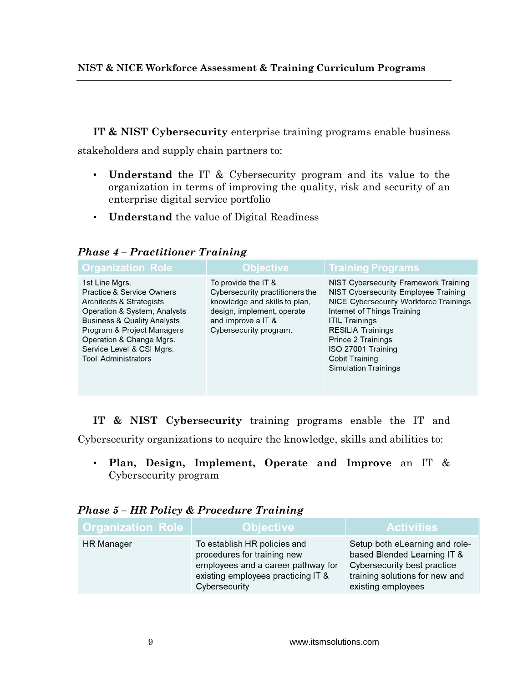**IT & NIST Cybersecurity** enterprise training programs enable business stakeholders and supply chain partners to:

- **Understand** the IT & Cybersecurity program and its value to the organization in terms of improving the quality, risk and security of an enterprise digital service portfolio
- **Understand** the value of Digital Readiness

*Phase 4 – Practitioner Training*

| <b>Organization Role</b>                                                                                                                                                                                                                                                          | <b>Objective</b>                                                                                                                                                      | <b>Training Programs</b>                                                                                                                                                                                                                                                                                        |
|-----------------------------------------------------------------------------------------------------------------------------------------------------------------------------------------------------------------------------------------------------------------------------------|-----------------------------------------------------------------------------------------------------------------------------------------------------------------------|-----------------------------------------------------------------------------------------------------------------------------------------------------------------------------------------------------------------------------------------------------------------------------------------------------------------|
| 1st Line Mgrs.<br><b>Practice &amp; Service Owners</b><br>Architects & Strategists<br>Operation & System, Analysts<br><b>Business &amp; Quality Analysts</b><br>Program & Project Managers<br>Operation & Change Mgrs.<br>Service Level & CSI Mgrs.<br><b>Tool Administrators</b> | To provide the IT &<br>Cybersecurity practitioners the<br>knowledge and skills to plan,<br>design, implement, operate<br>and improve a IT &<br>Cybersecurity program. | NIST Cybersecurity Framework Training<br>NIST Cybersecurity Employee Training<br>NICE Cybersecurity Workforce Trainings<br>Internet of Things Training<br><b>ITIL Trainings</b><br><b>RESILIA Trainings</b><br>Prince 2 Trainings<br>ISO 27001 Training<br><b>Cobit Training</b><br><b>Simulation Trainings</b> |

**IT & NIST Cybersecurity** training programs enable the IT and Cybersecurity organizations to acquire the knowledge, skills and abilities to:

• **Plan, Design, Implement, Operate and Improve** an IT & Cybersecurity program

## *Phase 5 – HR Policy & Procedure Training*

| <b>Organization Role</b> | <b>Objective</b>                                                                                                                                         | <b>Activities</b>                                                                                                                                    |  |  |
|--------------------------|----------------------------------------------------------------------------------------------------------------------------------------------------------|------------------------------------------------------------------------------------------------------------------------------------------------------|--|--|
| <b>HR Manager</b>        | To establish HR policies and<br>procedures for training new<br>employees and a career pathway for<br>existing employees practicing IT &<br>Cybersecurity | Setup both eLearning and role-<br>based Blended Learning IT &<br>Cybersecurity best practice<br>training solutions for new and<br>existing employees |  |  |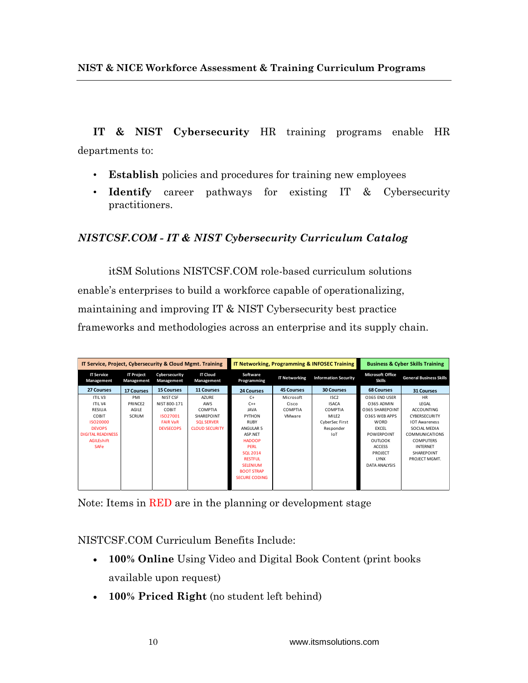**IT & NIST Cybersecurity** HR training programs enable HR departments to:

- **Establish** policies and procedures for training new employees
- **Identify** career pathways for existing IT & Cybersecurity practitioners.

# *NISTCSF.COM - IT & NIST Cybersecurity Curriculum Catalog*

itSM Solutions NISTCSF.COM role-based curriculum solutions enable's enterprises to build a workforce capable of operationalizing, maintaining and improving IT & NIST Cybersecurity best practice frameworks and methodologies across an enterprise and its supply chain.

| IT Service, Project, Cybersecurity & Cloud Mgmt. Training |                                 | <b>IT Networking, Programming &amp; INFOSEC Training</b> |                               | <b>Business &amp; Cyber Skills Training</b> |                      |                             |                                          |                                |
|-----------------------------------------------------------|---------------------------------|----------------------------------------------------------|-------------------------------|---------------------------------------------|----------------------|-----------------------------|------------------------------------------|--------------------------------|
| <b>IT Service</b><br>Management                           | <b>IT Project</b><br>Management | Cybersecurity<br>Management                              | <b>IT Cloud</b><br>Management | Software<br>Programming                     | <b>IT Networking</b> | <b>Information Security</b> | <b>Microsoft Office</b><br><b>Skills</b> | <b>General Business Skills</b> |
| 27 Courses                                                | <b>17 Courses</b>               | <b>15 Courses</b>                                        | <b>11 Courses</b>             | 24 Courses                                  | <b>45 Courses</b>    | <b>30 Courses</b>           | <b>68 Courses</b>                        | <b>31 Courses</b>              |
| ITIL V3                                                   | PMI                             | NIST CSF                                                 | <b>AZURE</b>                  | $C+$                                        | Microsoft            | ISC <sub>2</sub>            | O365 END USER                            | <b>HR</b>                      |
| ITIL V4                                                   | PRINCE2                         | NIST 800-171                                             | AWS                           | $C++$                                       | Cisco                | <b>ISACA</b>                | 0365 ADMIN                               | LEGAL                          |
| RESILIA                                                   | <b>AGILE</b>                    | COBIT                                                    | COMPTIA                       | <b>JAVA</b>                                 | COMPTIA              | COMPTIA                     | <b>0365 SHAREPOINT</b>                   | <b>ACCOUNTING</b>              |
| COBIT                                                     | <b>SCRUM</b>                    | 15027001                                                 | SHAREPOINT                    | PYTHON                                      | VMware               | MILE <sub>2</sub>           | O365 WEB APPS                            | CYBERSECURITY                  |
| ISO20000                                                  |                                 | <b>FAIR VaR</b>                                          | <b>SOL SERVER</b>             | <b>RUBY</b>                                 |                      | CyberSec First              | <b>WORD</b>                              | <b>IOT Awareness</b>           |
| <b>DEVOPS</b>                                             |                                 | <b>DEVSECOPS</b>                                         | <b>CLOUD SECURITY</b>         | ANGULAR 5                                   |                      | Responder                   | <b>EXCEL</b>                             | SOCIAL MEDIA                   |
| <b>DIGITAL READINESS</b>                                  |                                 |                                                          |                               | ASP.NET                                     |                      | IoT                         | <b>POWERPOINT</b>                        | <b>COMMUNICATIONS</b>          |
| <b>AGILEshift</b>                                         |                                 |                                                          |                               | <b>HADOOP</b>                               |                      |                             | <b>OUTLOOK</b>                           | <b>COMPUTERS</b>               |
| <b>SAFe</b>                                               |                                 |                                                          |                               | <b>PERL</b>                                 |                      |                             | <b>ACCESS</b>                            | <b>INTERNET</b>                |
|                                                           |                                 |                                                          |                               | <b>SOL 2014</b>                             |                      |                             | PROJECT                                  | SHARFPOINT                     |
|                                                           |                                 |                                                          |                               | <b>RESTFUL</b>                              |                      |                             | <b>LYNX</b>                              | PROJECT MGMT.                  |
|                                                           |                                 |                                                          |                               | <b>SELENIUM</b>                             |                      |                             | DATA ANALYSIS                            |                                |
|                                                           |                                 |                                                          |                               | <b>BOOT STRAP</b>                           |                      |                             |                                          |                                |
|                                                           |                                 |                                                          |                               | <b>SECURE CODING</b>                        |                      |                             |                                          |                                |
|                                                           |                                 |                                                          |                               |                                             |                      |                             |                                          |                                |

Note: Items in RED are in the planning or development stage

NISTCSF.COM Curriculum Benefits Include:

- **100% Online** Using Video and Digital Book Content (print books available upon request)
- **100% Priced Right** (no student left behind)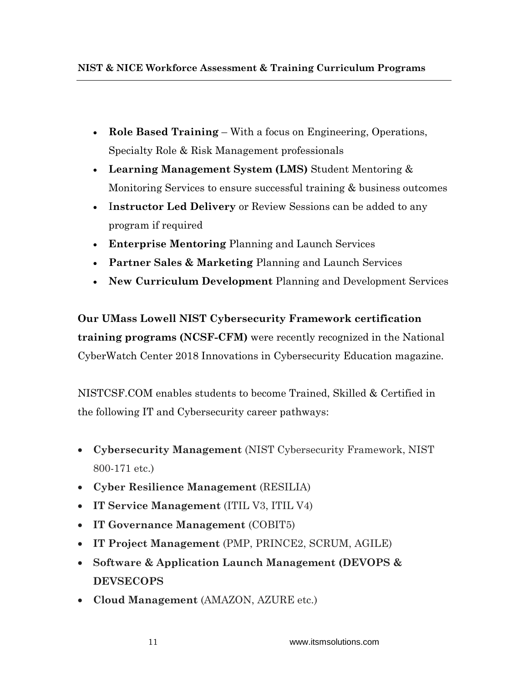- **Role Based Training** With a focus on Engineering, Operations, Specialty Role & Risk Management professionals
- **Learning Management System (LMS)** Student Mentoring & Monitoring Services to ensure successful training & business outcomes
- I**nstructor Led Delivery** or Review Sessions can be added to any program if required
- **Enterprise Mentoring** Planning and Launch Services
- **Partner Sales & Marketing** Planning and Launch Services
- **New Curriculum Development** Planning and Development Services

**Our UMass Lowell NIST Cybersecurity Framework certification training programs (NCSF-CFM)** were recently recognized in the National CyberWatch Center 2018 Innovations in Cybersecurity Education magazine.

NISTCSF.COM enables students to become Trained, Skilled & Certified in the following IT and Cybersecurity career pathways:

- **Cybersecurity Management** (NIST Cybersecurity Framework, NIST 800-171 etc.)
- **Cyber Resilience Management** (RESILIA)
- **IT Service Management** (ITIL V3, ITIL V4)
- **IT Governance Management** (COBIT5)
- **IT Project Management** (PMP, PRINCE2, SCRUM, AGILE)
- **Software & Application Launch Management (DEVOPS & DEVSECOPS**
- **Cloud Management** (AMAZON, AZURE etc.)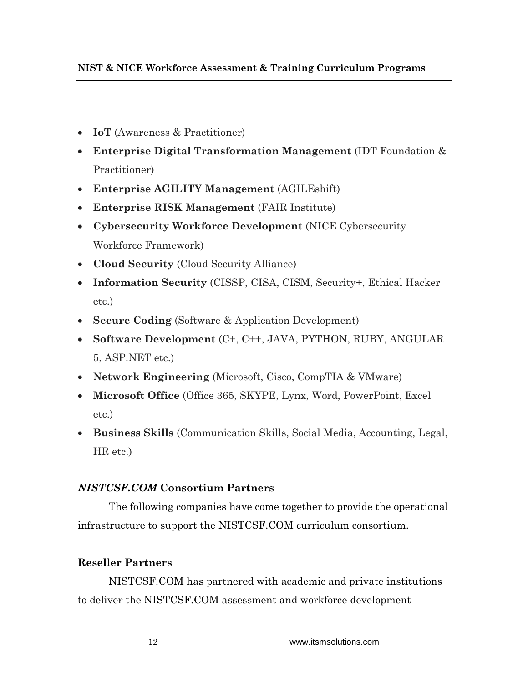- **IoT** (Awareness & Practitioner)
- **Enterprise Digital Transformation Management** (IDT Foundation & Practitioner)
- **Enterprise AGILITY Management** (AGILEshift)
- **Enterprise RISK Management** (FAIR Institute)
- **Cybersecurity Workforce Development** (NICE Cybersecurity Workforce Framework)
- **Cloud Security** (Cloud Security Alliance)
- **Information Security** (CISSP, CISA, CISM, Security+, Ethical Hacker etc.)
- **Secure Coding** (Software & Application Development)
- **Software Development** (C+, C++, JAVA, PYTHON, RUBY, ANGULAR 5, ASP.NET etc.)
- **Network Engineering** (Microsoft, Cisco, CompTIA & VMware)
- **Microsoft Office** (Office 365, SKYPE, Lynx, Word, PowerPoint, Excel etc.)
- **Business Skills** (Communication Skills, Social Media, Accounting, Legal, HR etc.)

# *NISTCSF.COM* **Consortium Partners**

The following companies have come together to provide the operational infrastructure to support the NISTCSF.COM curriculum consortium.

# **Reseller Partners**

NISTCSF.COM has partnered with academic and private institutions to deliver the NISTCSF.COM assessment and workforce development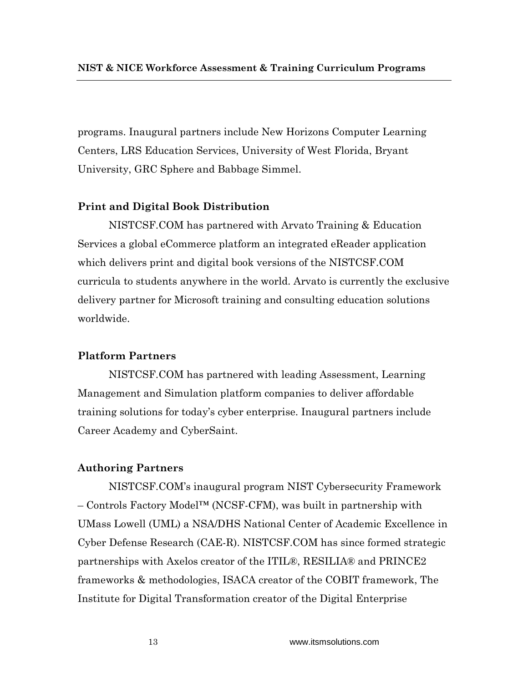programs. Inaugural partners include New Horizons Computer Learning Centers, LRS Education Services, University of West Florida, Bryant University, GRC Sphere and Babbage Simmel.

## **Print and Digital Book Distribution**

NISTCSF.COM has partnered with Arvato Training & Education Services a global eCommerce platform an integrated eReader application which delivers print and digital book versions of the NISTCSF.COM curricula to students anywhere in the world. Arvato is currently the exclusive delivery partner for Microsoft training and consulting education solutions worldwide.

## **Platform Partners**

NISTCSF.COM has partnered with leading Assessment, Learning Management and Simulation platform companies to deliver affordable training solutions for today's cyber enterprise. Inaugural partners include Career Academy and CyberSaint.

#### **Authoring Partners**

NISTCSF.COM's inaugural program NIST Cybersecurity Framework – Controls Factory Model™ (NCSF-CFM), was built in partnership with UMass Lowell (UML) a NSA/DHS National Center of Academic Excellence in Cyber Defense Research (CAE-R). NISTCSF.COM has since formed strategic partnerships with Axelos creator of the ITIL®, RESILIA® and PRINCE2 frameworks & methodologies, ISACA creator of the COBIT framework, The Institute for Digital Transformation creator of the Digital Enterprise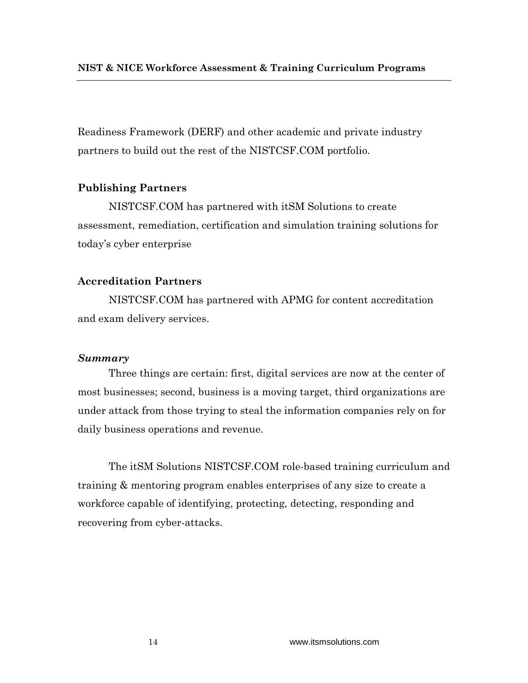Readiness Framework (DERF) and other academic and private industry partners to build out the rest of the NISTCSF.COM portfolio.

## **Publishing Partners**

NISTCSF.COM has partnered with itSM Solutions to create assessment, remediation, certification and simulation training solutions for today's cyber enterprise

## **Accreditation Partners**

NISTCSF.COM has partnered with APMG for content accreditation and exam delivery services.

### *Summary*

Three things are certain: first, digital services are now at the center of most businesses; second, business is a moving target, third organizations are under attack from those trying to steal the information companies rely on for daily business operations and revenue.

The itSM Solutions NISTCSF.COM role-based training curriculum and training & mentoring program enables enterprises of any size to create a workforce capable of identifying, protecting, detecting, responding and recovering from cyber-attacks.